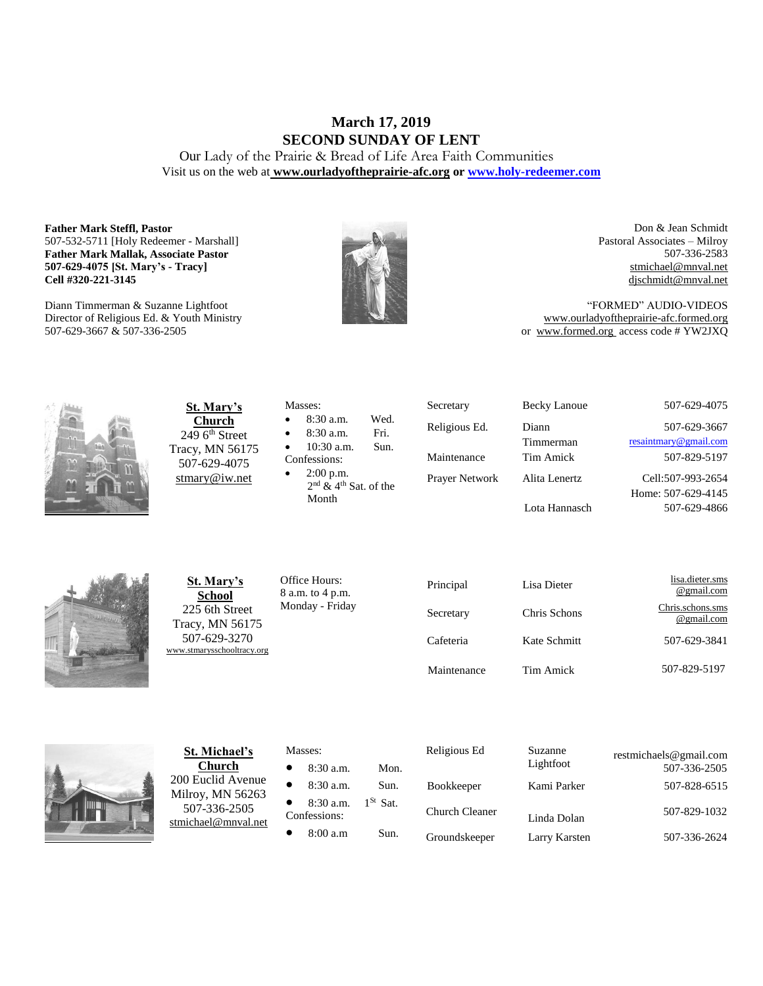# **March 17, 2019 SECOND SUNDAY OF LENT**

Our Lady of the Prairie & Bread of Life Area Faith Communities Visit us on the web at **[www.ourladyoftheprairie-afc.org](http://www.ourladyoftheprairie-afc.org/) o[r www.holy-redeemer.com](http://www.holy-redeemer.com/)**

#### **Father Mark Steffl, Pastor** 507-532-5711 [Holy Redeemer - Marshall] **Father Mark Mallak, Associate Pastor 507-629-4075 [St. Mary's - Tracy] Cell #320-221-3145**

Diann Timmerman & Suzanne Lightfoot Director of Religious Ed. & Youth Ministry 507-629-3667 & 507-336-2505



Don & Jean Schmidt Pastoral Associates – Milroy 507-336-2583 [stmichael@mnval.net](mailto:stmichael@means.net) [djschmidt@mnval.net](mailto:djschmidt@mnval.net)

"FORMED" AUDIO-VIDEOS [www.ourladyoftheprairie-afc.formed.org](http://www.ourladyoftheprairie-afc.formed.org/) or www.formed.org access code # YW2JXQ



**St. Mary's Church**  $2496$ <sup>th</sup> Street Tracy, MN 56175 507-629-4075 [stmary@iw.net](mailto:stmary@iw.net)

|              | Masses:                             |      |  |  |
|--------------|-------------------------------------|------|--|--|
| $\bullet$    | $8:30$ a.m.                         | Wed. |  |  |
| $\bullet$    | 8:30 a.m.                           | Fri. |  |  |
| $\bullet$    | $10:30$ a.m.                        | Sun. |  |  |
| Confessions: |                                     |      |  |  |
| $\bullet$    | $2:00$ p.m.                         |      |  |  |
|              | $2nd$ & 4 <sup>th</sup> Sat. of the |      |  |  |

Secretary Becky Lanoue 507-629-4075 Religious Ed. Diann Timmerman Prayer Network Alita Lenertz Lota Hannasch

507-629-3667 [resaintmary@gmail.com](mailto:resaintmary@gmail.com) Maintenance Tim Amick 507-829-5197 Cell:507-993-2654 Home: 507-629-4145 507-629-4866



**St. Mary's School** 225 6th Street Tracy, MN 56175 507-629-3270 [www.stmarysschooltracy.org](http://www.stmarysschooltracy.org/) Office Hours: 8 a.m. to 4 p.m. Monday - Friday

Month

| Principal   | Lisa Dieter  | lisa.dieter.sms<br>@gmail.com  |
|-------------|--------------|--------------------------------|
| Secretary   | Chris Schons | Chris.schons.sms<br>@gmail.com |
| Cafeteria   | Kate Schmitt | 507-629-3841                   |
| Maintenance | Tim Amick    | 507-829-5197                   |



**St. Michael's Church** 200 Euclid Avenue Milroy, MN 56263 507-336-2505 [stmichael@mnval.net](mailto:stmichael@mnval.net)

### Masses:

• 8:30 a.m. Mon.  $\bullet$  8:30 a.m. Sun. 8:30 a.m. 1<sup>St</sup> Sat. Confessions:  $\bullet$  8:00 a.m Sun.

| Religious Ed          | Suzanne<br>Lightfoot | restmichaels@gmail.com<br>507-336-2505 |
|-----------------------|----------------------|----------------------------------------|
| <b>Bookkeeper</b>     | Kami Parker          | 507-828-6515                           |
| <b>Church Cleaner</b> | Linda Dolan          | 507-829-1032                           |
| Groundskeeper         | Larry Karsten        | 507-336-2624                           |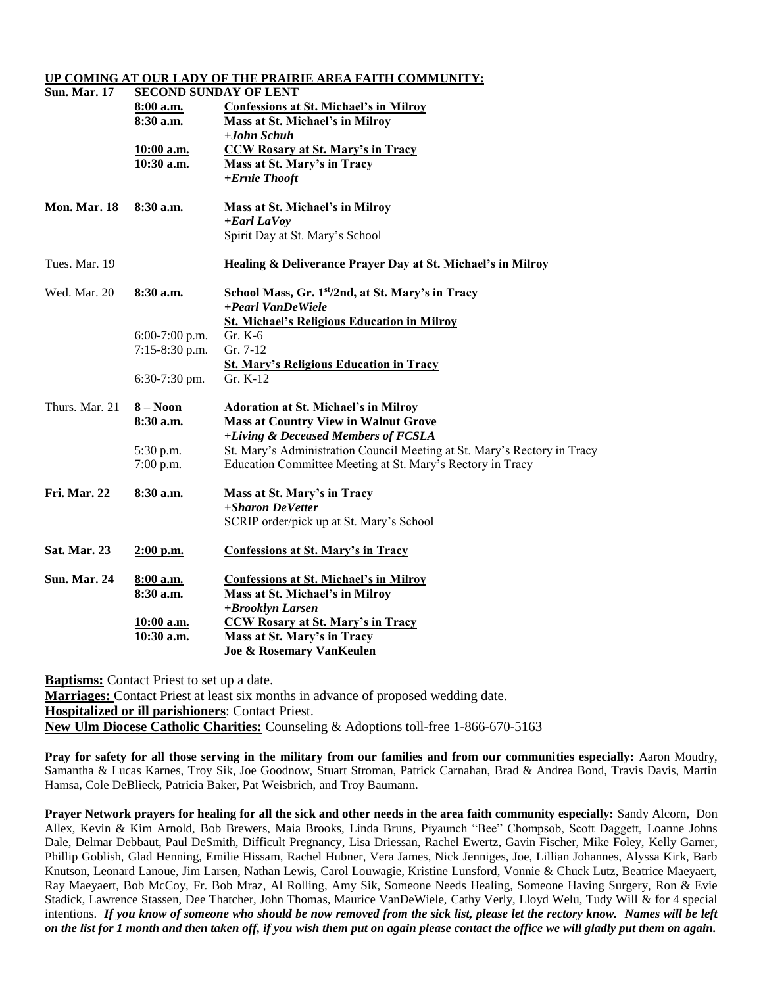#### **UP COMING AT OUR LADY OF THE PRAIRIE AREA FAITH COMMUNITY:**

| <b>Sun. Mar. 17</b> | <b>SECOND SUNDAY OF LENT</b> |                                                                          |  |  |
|---------------------|------------------------------|--------------------------------------------------------------------------|--|--|
|                     | 8:00 a.m.                    | <b>Confessions at St. Michael's in Milroy</b>                            |  |  |
|                     | $8:30$ a.m.                  | Mass at St. Michael's in Milroy                                          |  |  |
|                     |                              | $+John Schuh$                                                            |  |  |
|                     | 10:00 a.m.                   | <b>CCW Rosary at St. Mary's in Tracy</b>                                 |  |  |
|                     | $10:30$ a.m.                 | Mass at St. Mary's in Tracy                                              |  |  |
|                     |                              | +Ernie Thooft                                                            |  |  |
| <b>Mon. Mar. 18</b> | $8:30$ a.m.                  | Mass at St. Michael's in Milroy                                          |  |  |
|                     |                              | $+$ <i>Earl LaVoy</i>                                                    |  |  |
|                     |                              | Spirit Day at St. Mary's School                                          |  |  |
| Tues. Mar. 19       |                              | Healing & Deliverance Prayer Day at St. Michael's in Milroy              |  |  |
| Wed. Mar. 20        | 8:30a.m.                     | School Mass, Gr. 1 <sup>st</sup> /2nd, at St. Mary's in Tracy            |  |  |
|                     |                              | +Pearl VanDeWiele                                                        |  |  |
|                     |                              | <b>St. Michael's Religious Education in Milroy</b>                       |  |  |
|                     | 6:00-7:00 p.m.               | Gr. K-6                                                                  |  |  |
|                     | 7:15-8:30 p.m.               | Gr. 7-12                                                                 |  |  |
|                     |                              | <b>St. Mary's Religious Education in Tracy</b>                           |  |  |
|                     | $6:30-7:30$ pm.              | Gr. $K-12$                                                               |  |  |
| Thurs. Mar. 21      | $8 - N00n$                   | <b>Adoration at St. Michael's in Milroy</b>                              |  |  |
|                     | 8:30a.m.                     | <b>Mass at Country View in Walnut Grove</b>                              |  |  |
|                     |                              | +Living & Deceased Members of FCSLA                                      |  |  |
|                     | 5:30 p.m.                    | St. Mary's Administration Council Meeting at St. Mary's Rectory in Tracy |  |  |
|                     | $7:00$ p.m.                  | Education Committee Meeting at St. Mary's Rectory in Tracy               |  |  |
| Fri. Mar. 22        | 8:30a.m.                     | Mass at St. Mary's in Tracy                                              |  |  |
|                     |                              | +Sharon DeVetter                                                         |  |  |
|                     |                              | SCRIP order/pick up at St. Mary's School                                 |  |  |
| <b>Sat. Mar. 23</b> | $2:00$ p.m.                  | <b>Confessions at St. Mary's in Tracy</b>                                |  |  |
| <b>Sun. Mar. 24</b> | 8:00 a.m.                    | <b>Confessions at St. Michael's in Milroy</b>                            |  |  |
|                     | 8:30a.m.                     | Mass at St. Michael's in Milroy                                          |  |  |
|                     |                              | +Brooklyn Larsen                                                         |  |  |
|                     | 10:00 a.m.                   | <b>CCW Rosary at St. Mary's in Tracy</b>                                 |  |  |
|                     | 10:30 a.m.                   | Mass at St. Mary's in Tracy                                              |  |  |
|                     |                              | <b>Joe &amp; Rosemary VanKeulen</b>                                      |  |  |

**Baptisms:** Contact Priest to set up a date.

**Marriages:** Contact Priest at least six months in advance of proposed wedding date. **Hospitalized or ill parishioners**: Contact Priest. **New Ulm Diocese Catholic Charities:** Counseling & Adoptions toll-free 1-866-670-5163

**Pray for safety for all those serving in the military from our families and from our communities especially:** Aaron Moudry, Samantha & Lucas Karnes, Troy Sik, Joe Goodnow, Stuart Stroman, Patrick Carnahan, Brad & Andrea Bond, Travis Davis, Martin Hamsa, Cole DeBlieck, Patricia Baker, Pat Weisbrich, and Troy Baumann.

**Prayer Network prayers for healing for all the sick and other needs in the area faith community especially:** Sandy Alcorn, Don Allex, Kevin & Kim Arnold, Bob Brewers, Maia Brooks, Linda Bruns, Piyaunch "Bee" Chompsob, Scott Daggett, Loanne Johns Dale, Delmar Debbaut, Paul DeSmith, Difficult Pregnancy, Lisa Driessan, Rachel Ewertz, Gavin Fischer, Mike Foley, Kelly Garner, Phillip Goblish, Glad Henning, Emilie Hissam, Rachel Hubner, Vera James, Nick Jenniges, Joe, Lillian Johannes, Alyssa Kirk, Barb Knutson, Leonard Lanoue, Jim Larsen, Nathan Lewis, Carol Louwagie, Kristine Lunsford, Vonnie & Chuck Lutz, Beatrice Maeyaert, Ray Maeyaert, Bob McCoy, Fr. Bob Mraz, Al Rolling, Amy Sik, Someone Needs Healing, Someone Having Surgery, Ron & Evie Stadick, Lawrence Stassen, Dee Thatcher, John Thomas, Maurice VanDeWiele, Cathy Verly, Lloyd Welu, Tudy Will & for 4 special intentions. *If you know of someone who should be now removed from the sick list, please let the rectory know. Names will be left on the list for 1 month and then taken off, if you wish them put on again please contact the office we will gladly put them on again.*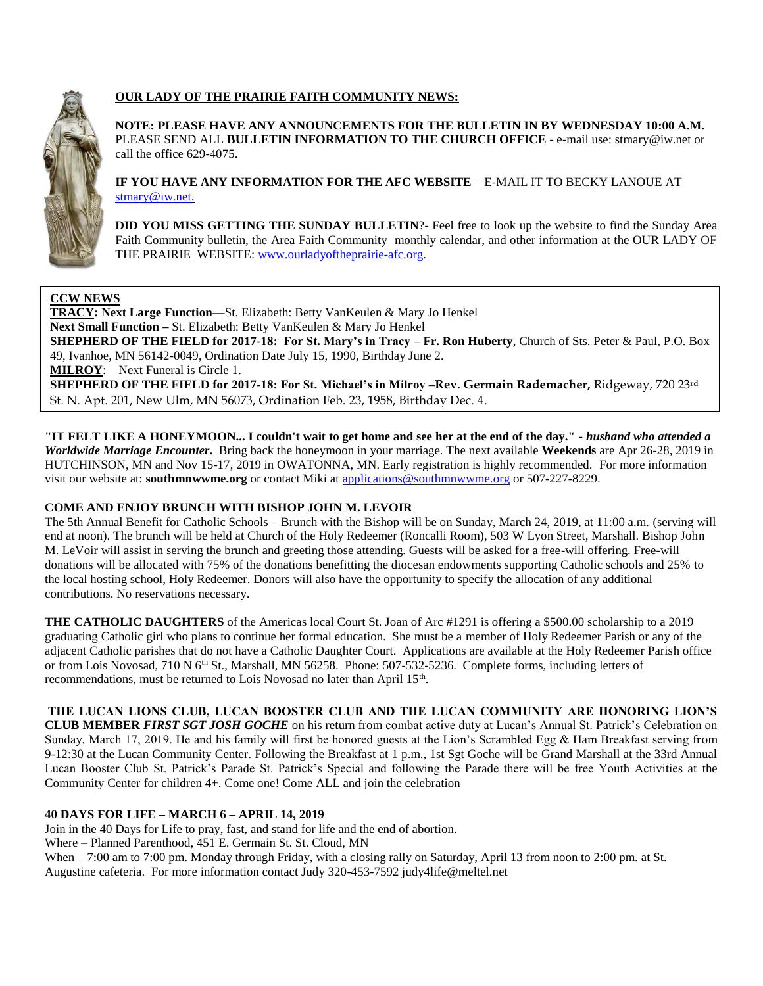

# **OUR LADY OF THE PRAIRIE FAITH COMMUNITY NEWS:**

**NOTE: PLEASE HAVE ANY ANNOUNCEMENTS FOR THE BULLETIN IN BY WEDNESDAY 10:00 A.M.** PLEASE SEND ALL **BULLETIN INFORMATION TO THE CHURCH OFFICE** - e-mail use[: stmary@iw.net](mailto:stmary@iw.net) or call the office 629-4075.

**IF YOU HAVE ANY INFORMATION FOR THE AFC WEBSITE** – E-MAIL IT TO BECKY LANOUE AT [stmary@iw.net.](mailto:stmary@iw.net)

**DID YOU MISS GETTING THE SUNDAY BULLETIN**?- Feel free to look up the website to find the Sunday Area Faith Community bulletin, the Area Faith Community monthly calendar, and other information at the OUR LADY OF THE PRAIRIE WEBSITE: [www.ourladyoftheprairie-afc.org.](http://www.ourladyoftheprairie-afc.org/)

## **CCW NEWS**

**TRACY: Next Large Function**—St. Elizabeth: Betty VanKeulen & Mary Jo Henkel **Next Small Function –** St. Elizabeth: Betty VanKeulen & Mary Jo Henkel **SHEPHERD OF THE FIELD for 2017-18: For St. Mary's in Tracy – Fr. Ron Huberty**, Church of Sts. Peter & Paul, P.O. Box 49, Ivanhoe, MN 56142-0049, Ordination Date July 15, 1990, Birthday June 2. **MILROY**: Next Funeral is Circle 1. **SHEPHERD OF THE FIELD for 2017-18: For St. Michael's in Milroy –Rev. Germain Rademacher,** Ridgeway, 720 23rd St. N. Apt. 201, New Ulm, MN 56073, Ordination Feb. 23, 1958, Birthday Dec. 4.

**"IT FELT LIKE A HONEYMOON... I couldn't wait to get home and see her at the end of the day." -** *husband who attended a Worldwide Marriage Encounter***.** Bring back the honeymoon in your marriage. The next available **Weekends** are Apr 26-28, 2019 in HUTCHINSON, MN and Nov 15-17, 2019 in OWATONNA, MN. Early registration is highly recommended. For more information visit our website at: **southmnwwme.org** or contact Miki at [applications@southmnwwme.org](mailto:wmandbethnickles@hotmail.com) or 507-227-8229.

## **COME AND ENJOY BRUNCH WITH BISHOP JOHN M. LEVOIR**

The 5th Annual Benefit for Catholic Schools – Brunch with the Bishop will be on Sunday, March 24, 2019, at 11:00 a.m. (serving will end at noon). The brunch will be held at Church of the Holy Redeemer (Roncalli Room), 503 W Lyon Street, Marshall. Bishop John M. LeVoir will assist in serving the brunch and greeting those attending. Guests will be asked for a free-will offering. Free-will donations will be allocated with 75% of the donations benefitting the diocesan endowments supporting Catholic schools and 25% to the local hosting school, Holy Redeemer. Donors will also have the opportunity to specify the allocation of any additional contributions. No reservations necessary.

**THE CATHOLIC DAUGHTERS** of the Americas local Court St. Joan of Arc #1291 is offering a \$500.00 scholarship to a 2019 graduating Catholic girl who plans to continue her formal education. She must be a member of Holy Redeemer Parish or any of the adjacent Catholic parishes that do not have a Catholic Daughter Court. Applications are available at the Holy Redeemer Parish office or from Lois Novosad, 710 N 6<sup>th</sup> St., Marshall, MN 56258. Phone: 507-532-5236. Complete forms, including letters of recommendations, must be returned to Lois Novosad no later than April 15<sup>th</sup>.

**THE LUCAN LIONS CLUB, LUCAN BOOSTER CLUB AND THE LUCAN COMMUNITY ARE HONORING LION'S CLUB MEMBER** *FIRST SGT JOSH GOCHE* on his return from combat active duty at Lucan's Annual St. Patrick's Celebration on Sunday, March 17, 2019. He and his family will first be honored guests at the Lion's Scrambled Egg & Ham Breakfast serving from 9-12:30 at the Lucan Community Center. Following the Breakfast at 1 p.m., 1st Sgt Goche will be Grand Marshall at the 33rd Annual Lucan Booster Club St. Patrick's Parade St. Patrick's Special and following the Parade there will be free Youth Activities at the Community Center for children 4+. Come one! Come ALL and join the celebration

## **40 DAYS FOR LIFE – MARCH 6 – APRIL 14, 2019**

Join in the 40 Days for Life to pray, fast, and stand for life and the end of abortion.

Where – Planned Parenthood, 451 E. Germain St. St. Cloud, MN

When – 7:00 am to 7:00 pm. Monday through Friday, with a closing rally on Saturday, April 13 from noon to 2:00 pm. at St. Augustine cafeteria. For more information contact Judy 320-453-7592 judy4life@meltel.net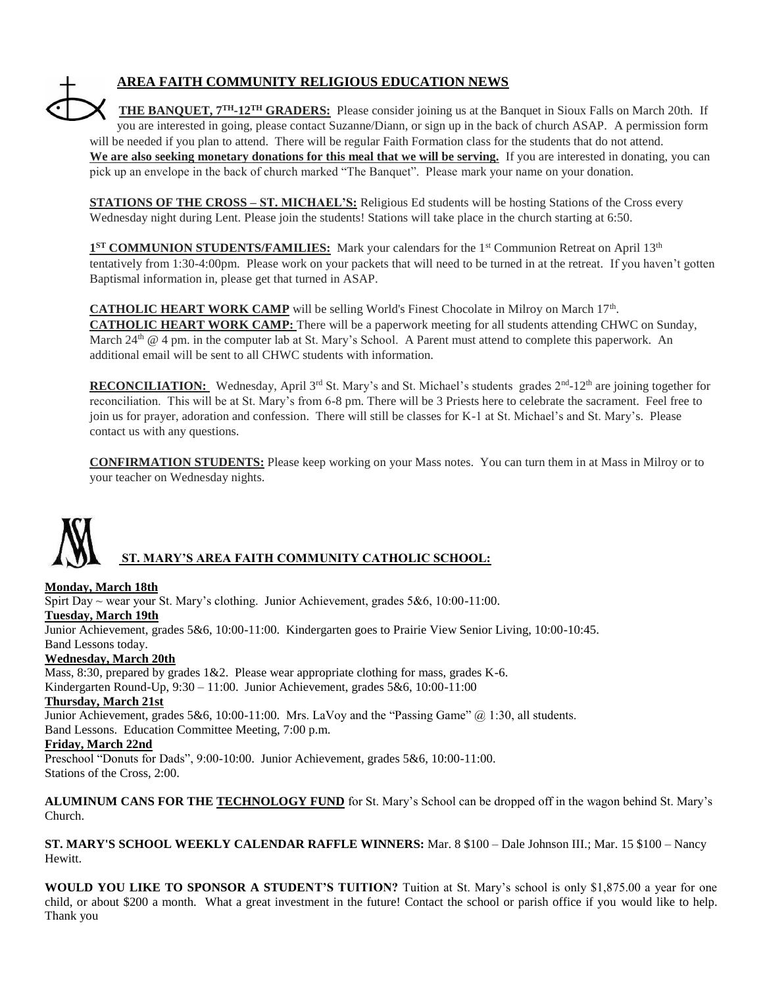# **AREA FAITH COMMUNITY RELIGIOUS EDUCATION NEWS**

**THE BANQUET, 7TH-12TH GRADERS:** Please consider joining us at the Banquet in Sioux Falls on March 20th. If you are interested in going, please contact Suzanne/Diann, or sign up in the back of church ASAP. A permission form will be needed if you plan to attend. There will be regular Faith Formation class for the students that do not attend. We are also seeking monetary donations for this meal that we will be serving. If you are interested in donating, you can pick up an envelope in the back of church marked "The Banquet". Please mark your name on your donation.

**STATIONS OF THE CROSS – ST. MICHAEL'S:** Religious Ed students will be hosting Stations of the Cross every Wednesday night during Lent. Please join the students! Stations will take place in the church starting at 6:50.

1<sup>ST</sup> COMMUNION STUDENTS/FAMILIES: Mark your calendars for the 1<sup>st</sup> Communion Retreat on April 13<sup>th</sup> tentatively from 1:30-4:00pm. Please work on your packets that will need to be turned in at the retreat. If you haven't gotten Baptismal information in, please get that turned in ASAP.

**CATHOLIC HEART WORK CAMP** will be selling World's Finest Chocolate in Milroy on March 17<sup>th</sup>. **CATHOLIC HEART WORK CAMP:** There will be a paperwork meeting for all students attending CHWC on Sunday, March  $24<sup>th</sup>$  @ 4 pm. in the computer lab at St. Mary's School. A Parent must attend to complete this paperwork. An additional email will be sent to all CHWC students with information.

RECONCILIATION: Wednesday, April 3<sup>rd</sup> St. Mary's and St. Michael's students grades 2<sup>nd</sup>-12<sup>th</sup> are joining together for reconciliation. This will be at St. Mary's from 6-8 pm. There will be 3 Priests here to celebrate the sacrament. Feel free to join us for prayer, adoration and confession. There will still be classes for K-1 at St. Michael's and St. Mary's. Please contact us with any questions.

**CONFIRMATION STUDENTS:** Please keep working on your Mass notes. You can turn them in at Mass in Milroy or to your teacher on Wednesday nights.



## **Monday, March 18th**

Spirt Day  $\sim$  wear your St. Mary's clothing. Junior Achievement, grades 5&6, 10:00-11:00.

#### **Tuesday, March 19th**

Junior Achievement, grades 5&6, 10:00-11:00. Kindergarten goes to Prairie View Senior Living, 10:00-10:45. Band Lessons today.

#### **Wednesday, March 20th**

Mass, 8:30, prepared by grades  $1&2$ . Please wear appropriate clothing for mass, grades K-6. Kindergarten Round-Up, 9:30 – 11:00. Junior Achievement, grades 5&6, 10:00-11:00

#### **Thursday, March 21st**

Junior Achievement, grades 5&6, 10:00-11:00. Mrs. LaVoy and the "Passing Game" @ 1:30, all students. Band Lessons. Education Committee Meeting, 7:00 p.m.

#### **Friday, March 22nd**

Preschool "Donuts for Dads", 9:00-10:00. Junior Achievement, grades 5&6, 10:00-11:00. Stations of the Cross, 2:00.

**ALUMINUM CANS FOR THE TECHNOLOGY FUND** for St. Mary's School can be dropped off in the wagon behind St. Mary's Church.

**ST. MARY'S SCHOOL WEEKLY CALENDAR RAFFLE WINNERS:** Mar. 8 \$100 – Dale Johnson III.; Mar. 15 \$100 – Nancy Hewitt.

**WOULD YOU LIKE TO SPONSOR A STUDENT'S TUITION?** Tuition at St. Mary's school is only \$1,875.00 a year for one child, or about \$200 a month. What a great investment in the future! Contact the school or parish office if you would like to help. Thank you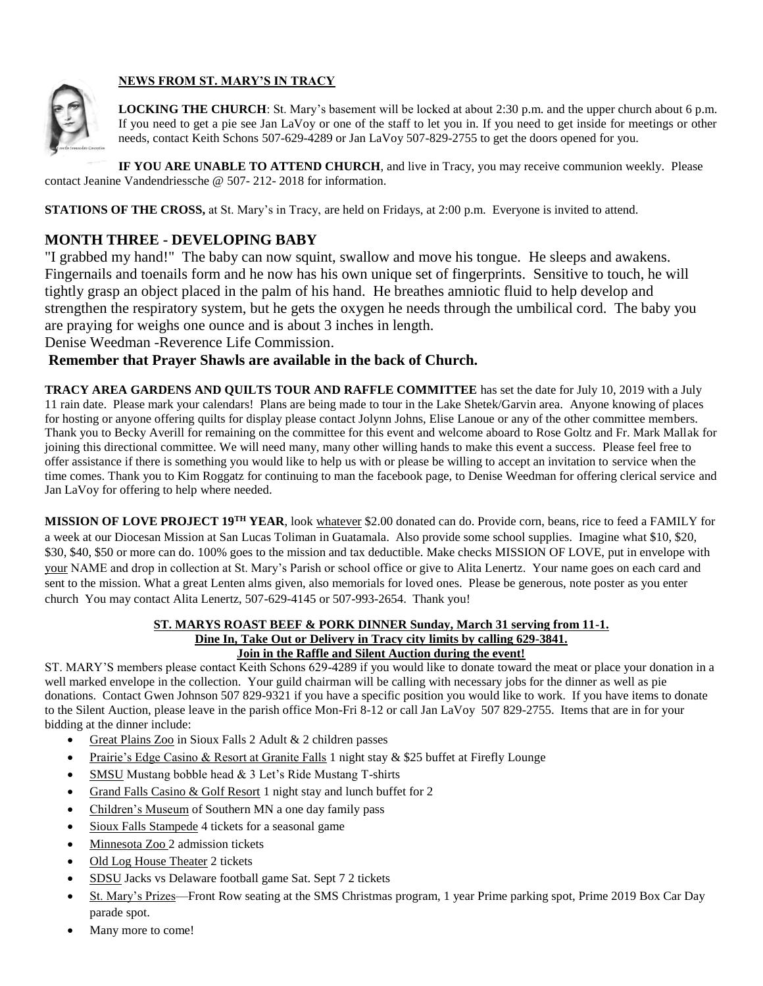

# **NEWS FROM ST. MARY'S IN TRACY**

**LOCKING THE CHURCH**: St. Mary's basement will be locked at about 2:30 p.m. and the upper church about 6 p.m. If you need to get a pie see Jan LaVoy or one of the staff to let you in. If you need to get inside for meetings or other needs, contact Keith Schons 507-629-4289 or Jan LaVoy 507-829-2755 to get the doors opened for you.

**IF YOU ARE UNABLE TO ATTEND CHURCH**, and live in Tracy, you may receive communion weekly. Please contact Jeanine Vandendriessche @ 507- 212- 2018 for information.

**STATIONS OF THE CROSS, at St. Mary's in Tracy, are held on Fridays, at 2:00 p.m. Everyone is invited to attend.** 

# **MONTH THREE - DEVELOPING BABY**

"I grabbed my hand!" The baby can now squint, swallow and move his tongue. He sleeps and awakens. Fingernails and toenails form and he now has his own unique set of fingerprints. Sensitive to touch, he will tightly grasp an object placed in the palm of his hand. He breathes amniotic fluid to help develop and strengthen the respiratory system, but he gets the oxygen he needs through the umbilical cord. The baby you are praying for weighs one ounce and is about 3 inches in length.

Denise Weedman -Reverence Life Commission.

# **Remember that Prayer Shawls are available in the back of Church.**

**TRACY AREA GARDENS AND QUILTS TOUR AND RAFFLE COMMITTEE** has set the date for July 10, 2019 with a July 11 rain date. Please mark your calendars! Plans are being made to tour in the Lake Shetek/Garvin area. Anyone knowing of places for hosting or anyone offering quilts for display please contact Jolynn Johns, Elise Lanoue or any of the other committee members. Thank you to Becky Averill for remaining on the committee for this event and welcome aboard to Rose Goltz and Fr. Mark Mallak for joining this directional committee. We will need many, many other willing hands to make this event a success. Please feel free to offer assistance if there is something you would like to help us with or please be willing to accept an invitation to service when the time comes. Thank you to Kim Roggatz for continuing to man the facebook page, to Denise Weedman for offering clerical service and Jan LaVoy for offering to help where needed.

**MISSION OF LOVE PROJECT 19TH YEAR**, look whatever \$2.00 donated can do. Provide corn, beans, rice to feed a FAMILY for a week at our Diocesan Mission at San Lucas Toliman in Guatamala. Also provide some school supplies. Imagine what \$10, \$20, \$30, \$40, \$50 or more can do. 100% goes to the mission and tax deductible. Make checks MISSION OF LOVE, put in envelope with your NAME and drop in collection at St. Mary's Parish or school office or give to Alita Lenertz. Your name goes on each card and sent to the mission. What a great Lenten alms given, also memorials for loved ones. Please be generous, note poster as you enter church You may contact Alita Lenertz, 507-629-4145 or 507-993-2654. Thank you!

## **ST. MARYS ROAST BEEF & PORK DINNER Sunday, March 31 serving from 11-1. Dine In, Take Out or Delivery in Tracy city limits by calling 629-3841. Join in the Raffle and Silent Auction during the event!**

ST. MARY'S members please contact Keith Schons 629-4289 if you would like to donate toward the meat or place your donation in a well marked envelope in the collection. Your guild chairman will be calling with necessary jobs for the dinner as well as pie donations. Contact Gwen Johnson 507 829-9321 if you have a specific position you would like to work. If you have items to donate to the Silent Auction, please leave in the parish office Mon-Fri 8-12 or call Jan LaVoy 507 829-2755. Items that are in for your bidding at the dinner include:

- Great Plains Zoo in Sioux Falls 2 Adult & 2 children passes
- Prairie's Edge Casino & Resort at Granite Falls 1 night stay & \$25 buffet at Firefly Lounge
- SMSU Mustang bobble head & 3 Let's Ride Mustang T-shirts
- Grand Falls Casino & Golf Resort 1 night stay and lunch buffet for 2
- Children's Museum of Southern MN a one day family pass
- Sioux Falls Stampede 4 tickets for a seasonal game
- Minnesota Zoo 2 admission tickets
- Old Log House Theater 2 tickets
- SDSU Jacks vs Delaware football game Sat. Sept 7 2 tickets
- St. Mary's Prizes—Front Row seating at the SMS Christmas program, 1 year Prime parking spot, Prime 2019 Box Car Day parade spot.
- Many more to come!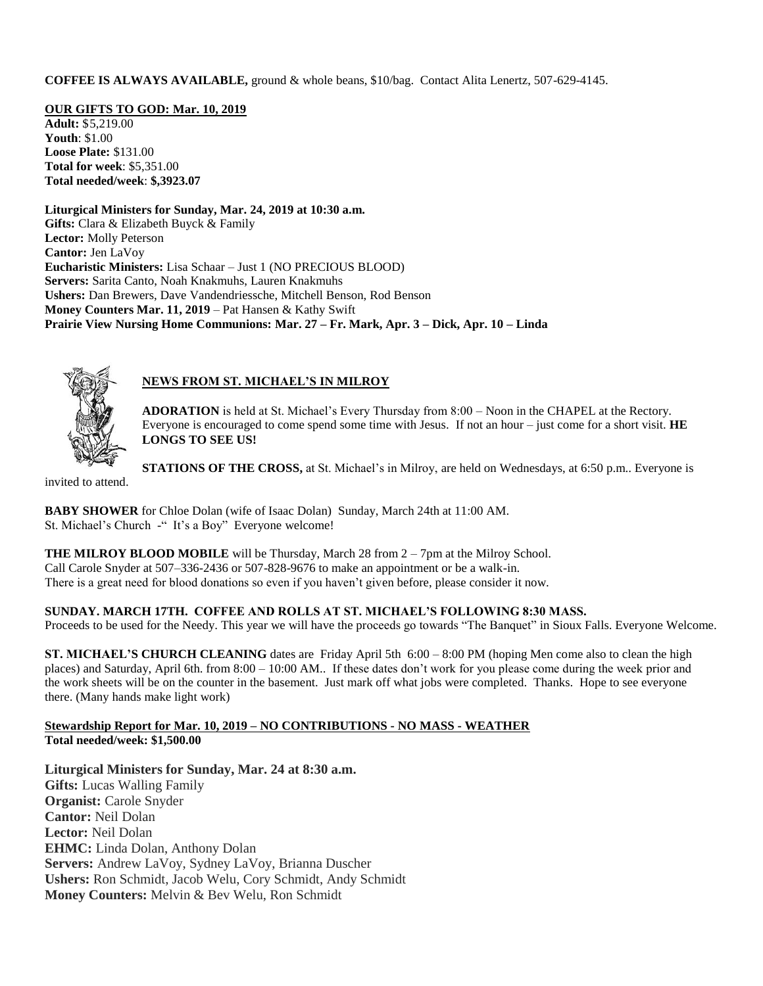**COFFEE IS ALWAYS AVAILABLE,** ground & whole beans, \$10/bag. Contact Alita Lenertz, 507-629-4145.

**OUR GIFTS TO GOD: Mar. 10, 2019**

**Adult:** \$5,219.00 **Youth**: \$1.00 **Loose Plate:** \$131.00 **Total for week**: \$5,351.00 **Total needed/week**: **\$,3923.07**

**Liturgical Ministers for Sunday, Mar. 24, 2019 at 10:30 a.m. Gifts:** Clara & Elizabeth Buyck & Family **Lector:** Molly Peterson **Cantor:** Jen LaVoy **Eucharistic Ministers:** Lisa Schaar – Just 1 (NO PRECIOUS BLOOD) **Servers:** Sarita Canto, Noah Knakmuhs, Lauren Knakmuhs **Ushers:** Dan Brewers, Dave Vandendriessche, Mitchell Benson, Rod Benson **Money Counters Mar. 11, 2019** – Pat Hansen & Kathy Swift **Prairie View Nursing Home Communions: Mar. 27 – Fr. Mark, Apr. 3 – Dick, Apr. 10 – Linda**



# **NEWS FROM ST. MICHAEL'S IN MILROY**

**ADORATION** is held at St. Michael's Every Thursday from 8:00 – Noon in the CHAPEL at the Rectory. Everyone is encouraged to come spend some time with Jesus. If not an hour – just come for a short visit. **HE LONGS TO SEE US!**

**STATIONS OF THE CROSS,** at St. Michael's in Milroy, are held on Wednesdays, at 6:50 p.m.. Everyone is

invited to attend.

**BABY SHOWER** for Chloe Dolan (wife of Isaac Dolan) Sunday, March 24th at 11:00 AM. St. Michael's Church -" It's a Boy" Everyone welcome!

**THE MILROY BLOOD MOBILE** will be Thursday, March 28 from 2 – 7pm at the Milroy School. Call Carole Snyder at 507–336-2436 or 507-828-9676 to make an appointment or be a walk-in. There is a great need for blood donations so even if you haven't given before, please consider it now.

**SUNDAY. MARCH 17TH. COFFEE AND ROLLS AT ST. MICHAEL'S FOLLOWING 8:30 MASS.**

Proceeds to be used for the Needy. This year we will have the proceeds go towards "The Banquet" in Sioux Falls. Everyone Welcome.

**ST. MICHAEL'S CHURCH CLEANING** dates are Friday April 5th 6:00 – 8:00 PM (hoping Men come also to clean the high places) and Saturday, April 6th. from 8:00 – 10:00 AM.. If these dates don't work for you please come during the week prior and the work sheets will be on the counter in the basement. Just mark off what jobs were completed. Thanks. Hope to see everyone there. (Many hands make light work)

## **Stewardship Report for Mar. 10, 2019 – NO CONTRIBUTIONS - NO MASS - WEATHER Total needed/week: \$1,500.00**

**Liturgical Ministers for Sunday, Mar. 24 at 8:30 a.m. Gifts:** Lucas Walling Family **Organist:** Carole Snyder **Cantor:** Neil Dolan **Lector:** Neil Dolan **EHMC:** Linda Dolan, Anthony Dolan **Servers:** Andrew LaVoy, Sydney LaVoy, Brianna Duscher **Ushers:** Ron Schmidt, Jacob Welu, Cory Schmidt, Andy Schmidt **Money Counters:** Melvin & Bev Welu, Ron Schmidt